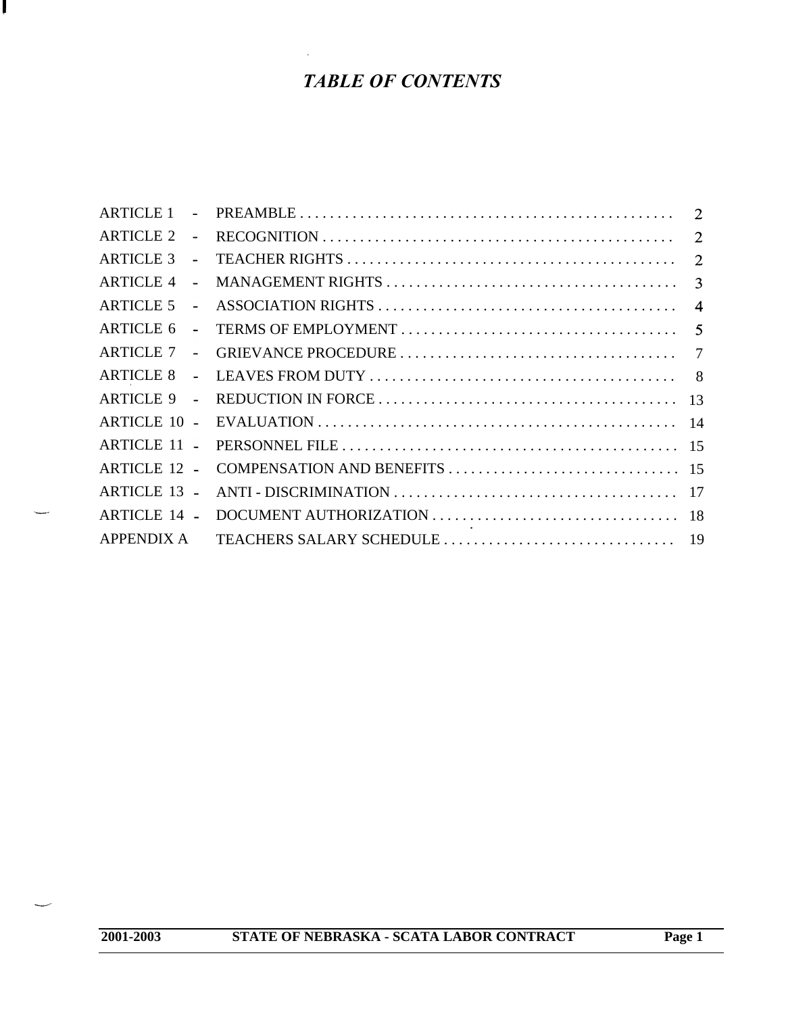# *TABLE OF CONTENTS*

s

| <b>ARTICLE 2</b>    | $\tilde{\phantom{a}}$ |                |
|---------------------|-----------------------|----------------|
| <b>ARTICLE 3</b>    | $\blacksquare$        |                |
| <b>ARTICLE 4</b>    | $\blacksquare$        |                |
| <b>ARTICLE 5</b>    | $\blacksquare$        |                |
| <b>ARTICLE 6</b>    | $\blacksquare$        |                |
| <b>ARTICLE 7</b>    | $\sim$                | $\overline{7}$ |
| <b>ARTICLE 8</b>    | $\sim$                |                |
| $ARTICLE 9 -$       |                       |                |
| <b>ARTICLE 10 -</b> |                       |                |
| <b>ARTICLE 11 -</b> |                       |                |
| <b>ARTICLE 12 -</b> |                       |                |
| <b>ARTICLE 13 -</b> |                       |                |
| <b>ARTICLE 14 -</b> |                       |                |
| <b>APPENDIX A</b>   |                       |                |

سب

J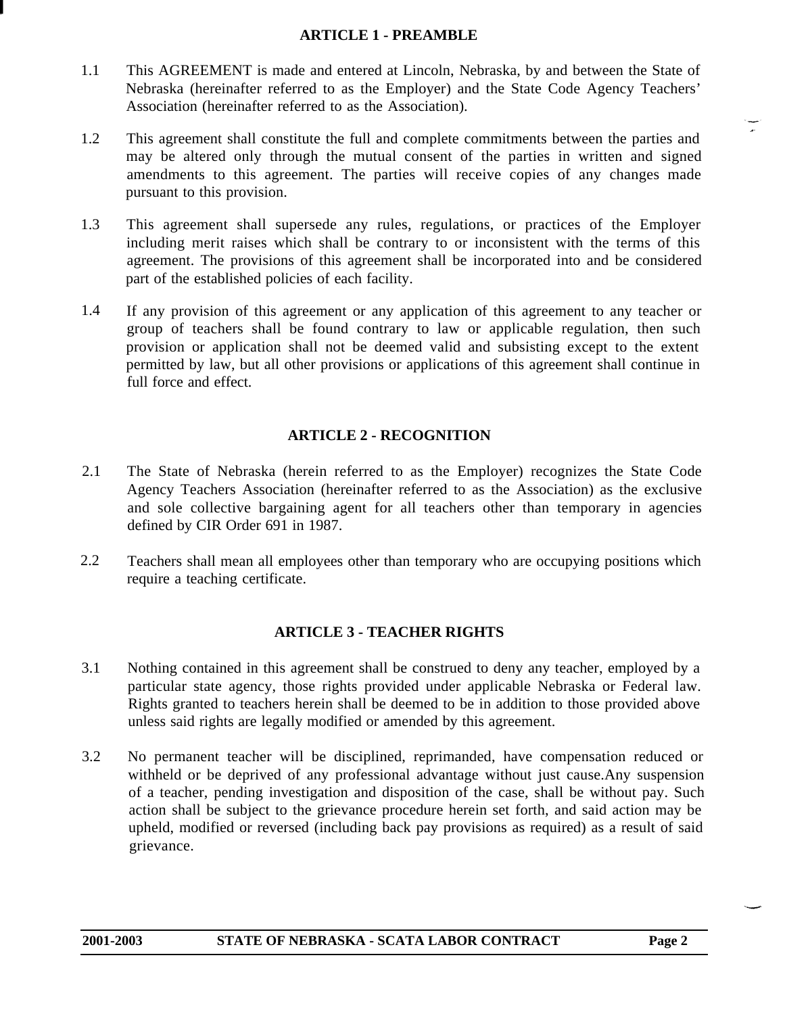### **ARTICLE 1 - PREAMBLE**

- <span id="page-1-0"></span>1.1 This AGREEMENT is made and entered at Lincoln, Nebraska, by and between the State of Nebraska (hereinafter referred to as the Employer) and the State Code Agency Teachers' Association (hereinafter referred to as the Association).
- 1.2 This agreement shall constitute the full and complete commitments between the parties and may be altered only through the mutual consent of the parties in written and signed amendments to this agreement. The parties will receive copies of any changes made pursuant to this provision.
- 1.3 This agreement shall supersede any rules, regulations, or practices of the Employer including merit raises which shall be contrary to or inconsistent with the terms of this agreement. The provisions of this agreement shall be incorporated into and be considered part of the established policies of each facility.
- <span id="page-1-1"></span>1.4 If any provision of this agreement or any application of this agreement to any teacher or group of teachers shall be found contrary to law or applicable regulation, then such provision or application shall not be deemed valid and subsisting except to the extent permitted by law, but all other provisions or applications of this agreement shall continue in full force and effect.

# **ARTICLE 2 - RECOGNITION**

- 2.1 The State of Nebraska (herein referred to as the Employer) recognizes the State Code Agency Teachers Association (hereinafter referred to as the Association) as the exclusive and sole collective bargaining agent for all teachers other than temporary in agencies defined by CIR Order 691 in 1987.
- <span id="page-1-2"></span>2.2 Teachers shall mean all employees other than temporary who are occupying positions which require a teaching certificate.

# **ARTICLE 3 - TEACHER RIGHTS**

- 3.1 Nothing contained in this agreement shall be construed to deny any teacher, employed by a particular state agency, those rights provided under applicable Nebraska or Federal law. Rights granted to teachers herein shall be deemed to be in addition to those provided above unless said rights are legally modified or amended by this agreement.
- 3.2 No permanent teacher will be disciplined, reprimanded, have compensation reduced or withheld or be deprived of any professional advantage without just cause.Any suspension of a teacher, pending investigation and disposition of the case, shall be without pay. Such action shall be subject to the grievance procedure herein set forth, and said action may be upheld, modified or reversed (including back pay provisions as required) as a result of said grievance.

 $\frac{1}{\sqrt{2}}$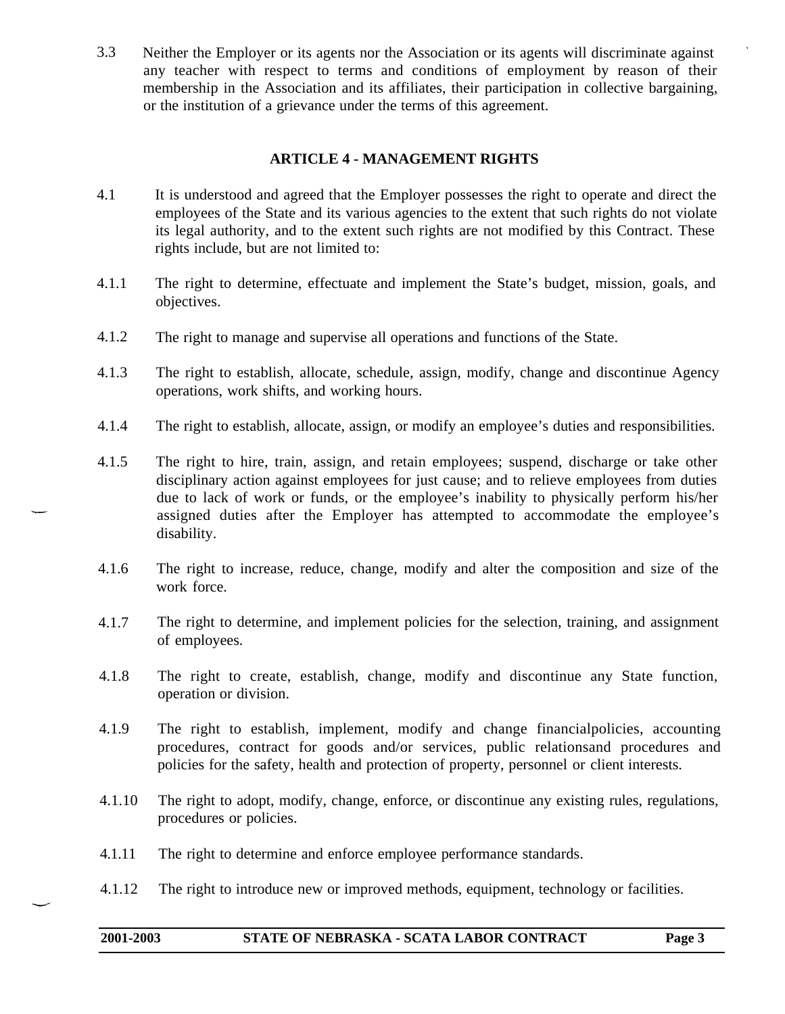3.3 Neither the Employer or its agents nor the Association or its agents will discriminate against any teacher with respect to terms and conditions of employment by reason of their membership in the Association and its affiliates, their participation in collective bargaining, or the institution of a grievance under the terms of this agreement.

# **ARTICLE 4 - MANAGEMENT RIGHTS**

- <span id="page-2-0"></span>4.1 It is understood and agreed that the Employer possesses the right to operate and direct the employees of the State and its various agencies to the extent that such rights do not violate its legal authority, and to the extent such rights are not modified by this Contract. These rights include, but are not limited to:
- 4.1.1 The right to determine, effectuate and implement the State's budget, mission, goals, and objectives.
- 4.1.2 The right to manage and supervise all operations and functions of the State.
- 4.1.3 The right to establish, allocate, schedule, assign, modify, change and discontinue Agency operations, work shifts, and working hours.
- 4.1.4 The right to establish, allocate, assign, or modify an employee's duties and responsibilities.
- 4.1.5 The right to hire, train, assign, and retain employees; suspend, discharge or take other disciplinary action against employees for just cause; and to relieve employees from duties due to lack of work or funds, or the employee's inability to physically perform his/her assigned duties after the Employer has attempted to accommodate the employee's disability.
- 4.1.6 The right to increase, reduce, change, modify and alter the composition and size of the work force.
- 4.1.7 The right to determine, and implement policies for the selection, training, and assignment of employees.
- 4.1.8 The right to create, establish, change, modify and discontinue any State function, operation or division.
- 4.1.9 The right to establish, implement, modify and change financialpolicies, accounting procedures, contract for goods and/or services, public relationsand procedures and policies for the safety, health and protection of property, personnel or client interests.
- 4.1.10 The right to adopt, modify, change, enforce, or discontinue any existing rules, regulations, procedures or policies.
- 4.1.11 The right to determine and enforce employee performance standards.
- 4.1.12 The right to introduce new or improved methods, equipment, technology or facilities.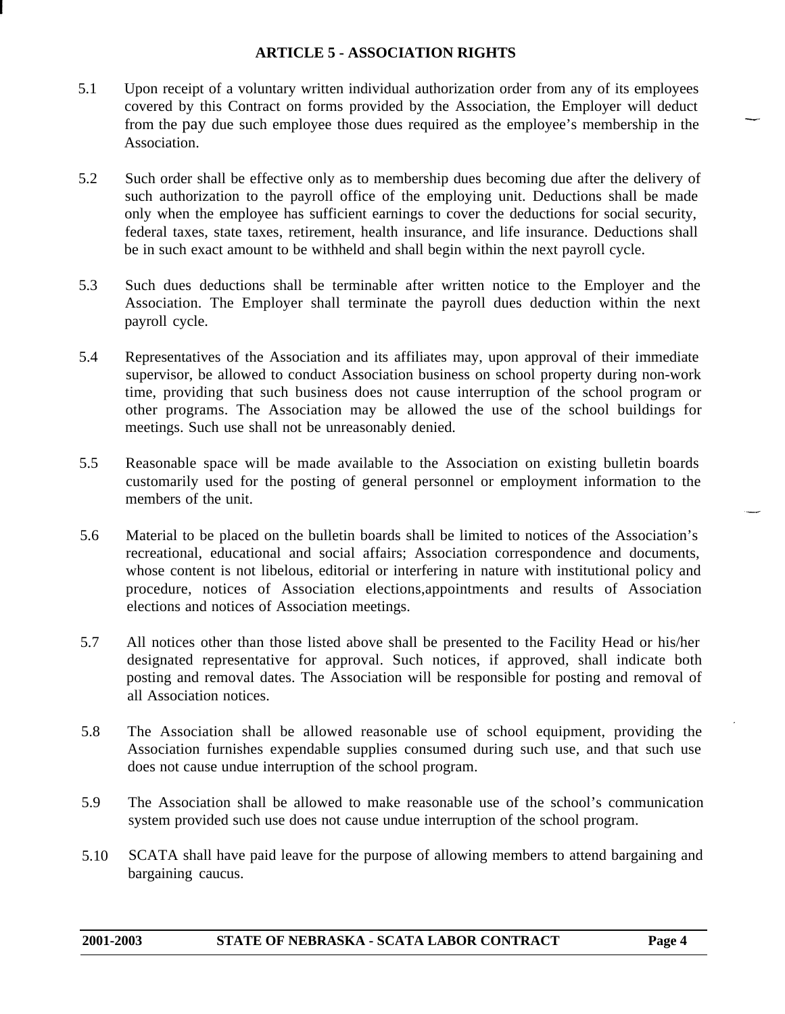### **ARTICLE 5 - ASSOCIATION RIGHTS**

- <span id="page-3-0"></span>5.1 Upon receipt of a voluntary written individual authorization order from any of its employees covered by this Contract on forms provided by the Association, the Employer will deduct from the pay due such employee those dues required as the employee's membership in the Association.
- 5.2 Such order shall be effective only as to membership dues becoming due after the delivery of such authorization to the payroll office of the employing unit. Deductions shall be made only when the employee has sufficient earnings to cover the deductions for social security, federal taxes, state taxes, retirement, health insurance, and life insurance. Deductions shall be in such exact amount to be withheld and shall begin within the next payroll cycle.
- 5.3 Such dues deductions shall be terminable after written notice to the Employer and the Association. The Employer shall terminate the payroll dues deduction within the next payroll cycle.
- 5.4 Representatives of the Association and its affiliates may, upon approval of their immediate supervisor, be allowed to conduct Association business on school property during non-work time, providing that such business does not cause interruption of the school program or other programs. The Association may be allowed the use of the school buildings for meetings. Such use shall not be unreasonably denied.
- 5.5 Reasonable space will be made available to the Association on existing bulletin boards customarily used for the posting of general personnel or employment information to the members of the unit.
- 5.6 Material to be placed on the bulletin boards shall be limited to notices of the Association's recreational, educational and social affairs; Association correspondence and documents, whose content is not libelous, editorial or interfering in nature with institutional policy and procedure, notices of Association elections,appointments and results of Association elections and notices of Association meetings.
- 5.7 All notices other than those listed above shall be presented to the Facility Head or his/her designated representative for approval. Such notices, if approved, shall indicate both posting and removal dates. The Association will be responsible for posting and removal of all Association notices.
- 5.8 The Association shall be allowed reasonable use of school equipment, providing the Association furnishes expendable supplies consumed during such use, and that such use does not cause undue interruption of the school program.
- 5.9 The Association shall be allowed to make reasonable use of the school's communication system provided such use does not cause undue interruption of the school program.
- 5.10 SCATA shall have paid leave for the purpose of allowing members to attend bargaining and bargaining caucus.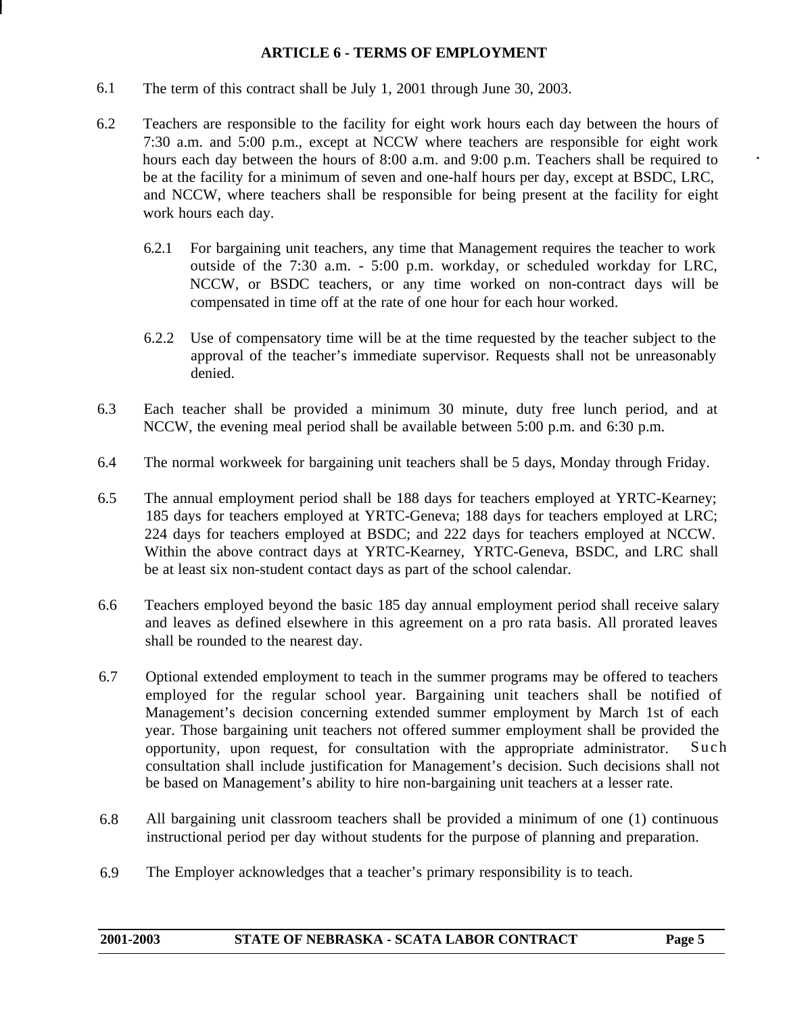### **ARTICLE 6 - TERMS OF EMPLOYMENT**

- <span id="page-4-0"></span>6.1 The term of this contract shall be July 1, 2001 through June 30, 2003.
- 6.2 Teachers are responsible to the facility for eight work hours each day between the hours of 7:30 a.m. and 5:00 p.m., except at NCCW where teachers are responsible for eight work hours each day between the hours of 8:00 a.m. and 9:00 p.m. Teachers shall be required to be at the facility for a minimum of seven and one-half hours per day, except at BSDC, LRC, and NCCW, where teachers shall be responsible for being present at the facility for eight work hours each day.
	- 6.2.1 For bargaining unit teachers, any time that Management requires the teacher to work outside of the 7:30 a.m. - 5:00 p.m. workday, or scheduled workday for LRC, NCCW, or BSDC teachers, or any time worked on non-contract days will be compensated in time off at the rate of one hour for each hour worked.
	- 6.2.2 Use of compensatory time will be at the time requested by the teacher subject to the approval of the teacher's immediate supervisor. Requests shall not be unreasonably denied.
- 6.3 Each teacher shall be provided a minimum 30 minute, duty free lunch period, and at NCCW, the evening meal period shall be available between 5:00 p.m. and 6:30 p.m.
- 6.4 The normal workweek for bargaining unit teachers shall be 5 days, Monday through Friday.
- 6.5 The annual employment period shall be 188 days for teachers employed at YRTC-Kearney; 185 days for teachers employed at YRTC-Geneva; 188 days for teachers employed at LRC; 224 days for teachers employed at BSDC; and 222 days for teachers employed at NCCW. Within the above contract days at YRTC-Kearney, YRTC-Geneva, BSDC, and LRC shall be at least six non-student contact days as part of the school calendar.
- 6.6 Teachers employed beyond the basic 185 day annual employment period shall receive salary and leaves as defined elsewhere in this agreement on a pro rata basis. All prorated leaves shall be rounded to the nearest day.
- 6.7 Optional extended employment to teach in the summer programs may be offered to teachers employed for the regular school year. Bargaining unit teachers shall be notified of Management's decision concerning extended summer employment by March 1st of each year. Those bargaining unit teachers not offered summer employment shall be provided the opportunity, upon request, for consultation with the appropriate administrator. Such consultation shall include justification for Management's decision. Such decisions shall not be based on Management's ability to hire non-bargaining unit teachers at a lesser rate.
- 6.8 All bargaining unit classroom teachers shall be provided a minimum of one (1) continuous instructional period per day without students for the purpose of planning and preparation.
- 6.9 The Employer acknowledges that a teacher's primary responsibility is to teach.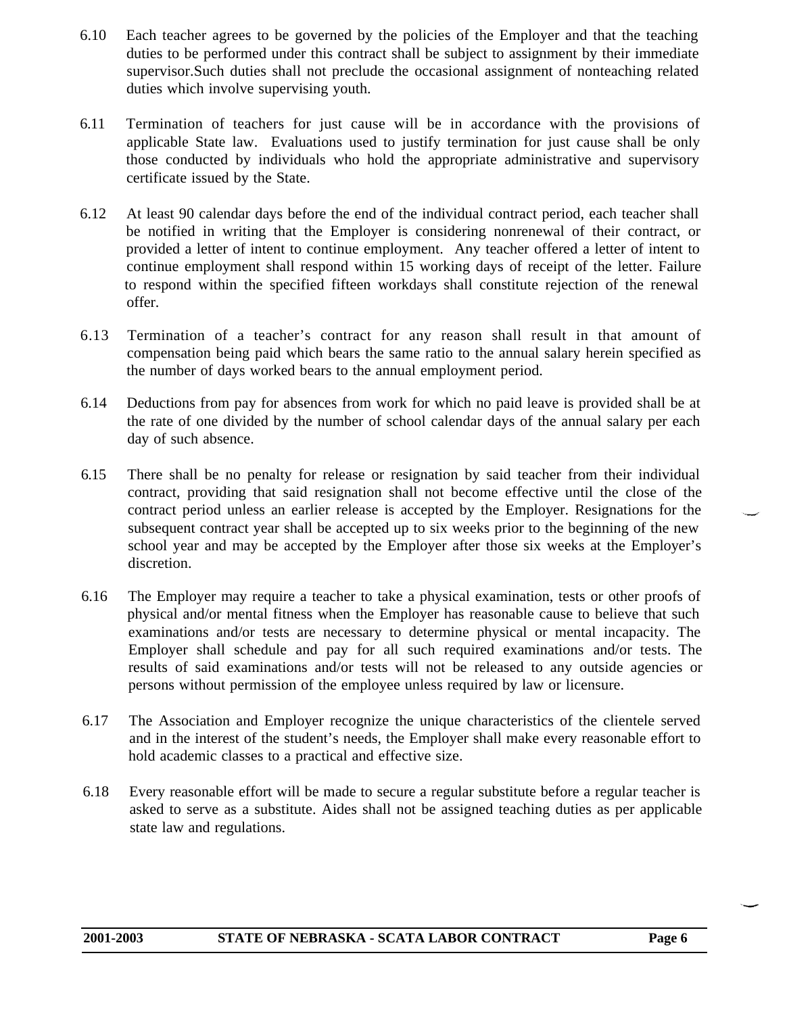- 6.10 Each teacher agrees to be governed by the policies of the Employer and that the teaching duties to be performed under this contract shall be subject to assignment by their immediate supervisor.Such duties shall not preclude the occasional assignment of nonteaching related duties which involve supervising youth.
- 6.11 Termination of teachers for just cause will be in accordance with the provisions of applicable State law. Evaluations used to justify termination for just cause shall be only those conducted by individuals who hold the appropriate administrative and supervisory certificate issued by the State.
- 6.12 At least 90 calendar days before the end of the individual contract period, each teacher shall be notified in writing that the Employer is considering nonrenewal of their contract, or provided a letter of intent to continue employment. Any teacher offered a letter of intent to continue employment shall respond within 15 working days of receipt of the letter. Failure to respond within the specified fifteen workdays shall constitute rejection of the renewal offer.
- 6.13 Termination of a teacher's contract for any reason shall result in that amount of compensation being paid which bears the same ratio to the annual salary herein specified as the number of days worked bears to the annual employment period.
- 6.14 Deductions from pay for absences from work for which no paid leave is provided shall be at the rate of one divided by the number of school calendar days of the annual salary per each day of such absence.
- 6.15 There shall be no penalty for release or resignation by said teacher from their individual contract, providing that said resignation shall not become effective until the close of the contract period unless an earlier release is accepted by the Employer. Resignations for the subsequent contract year shall be accepted up to six weeks prior to the beginning of the new school year and may be accepted by the Employer after those six weeks at the Employer's discretion.
- 6.16 The Employer may require a teacher to take a physical examination, tests or other proofs of physical and/or mental fitness when the Employer has reasonable cause to believe that such examinations and/or tests are necessary to determine physical or mental incapacity. The Employer shall schedule and pay for all such required examinations and/or tests. The results of said examinations and/or tests will not be released to any outside agencies or persons without permission of the employee unless required by law or licensure.
- 6.17 The Association and Employer recognize the unique characteristics of the clientele served and in the interest of the student's needs, the Employer shall make every reasonable effort to hold academic classes to a practical and effective size.
- 6.18 Every reasonable effort will be made to secure a regular substitute before a regular teacher is asked to serve as a substitute. Aides shall not be assigned teaching duties as per applicable state law and regulations.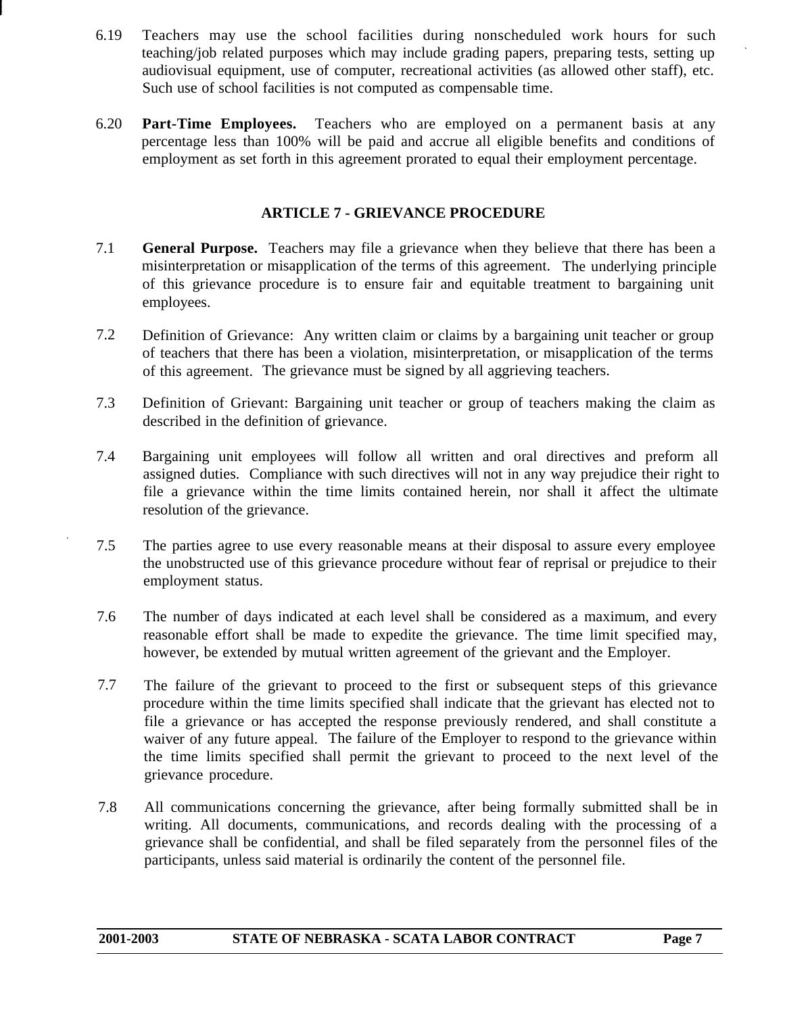- 6.19 Teachers may use the school facilities during nonscheduled work hours for such teaching/job related purposes which may include grading papers, preparing tests, setting up audiovisual equipment, use of computer, recreational activities (as allowed other staff), etc. Such use of school facilities is not computed as compensable time.
- <span id="page-6-0"></span>6.20 **Part-Time Employees.** Teachers who are employed on a permanent basis at any percentage less than 100% will be paid and accrue all eligible benefits and conditions of employment as set forth in this agreement prorated to equal their employment percentage.

### **ARTICLE 7 - GRIEVANCE PROCEDURE**

- 7.1 **General Purpose.** Teachers may file a grievance when they believe that there has been a misinterpretation or misapplication of the terms of this agreement. The underlying principle of this grievance procedure is to ensure fair and equitable treatment to bargaining unit employees.
- 7.2 Definition of Grievance: Any written claim or claims by a bargaining unit teacher or group of teachers that there has been a violation, misinterpretation, or misapplication of the terms of this agreement. The grievance must be signed by all aggrieving teachers.
- 7.3 Definition of Grievant: Bargaining unit teacher or group of teachers making the claim as described in the definition of grievance.
- 7.4 Bargaining unit employees will follow all written and oral directives and preform all assigned duties. Compliance with such directives will not in any way prejudice their right to file a grievance within the time limits contained herein, nor shall it affect the ultimate resolution of the grievance.
- . 7.5 The parties agree to use every reasonable means at their disposal to assure every employee the unobstructed use of this grievance procedure without fear of reprisal or prejudice to their employment status.
- 7.6 The number of days indicated at each level shall be considered as a maximum, and every reasonable effort shall be made to expedite the grievance. The time limit specified may, however, be extended by mutual written agreement of the grievant and the Employer.
- 7.7 The failure of the grievant to proceed to the first or subsequent steps of this grievance procedure within the time limits specified shall indicate that the grievant has elected not to file a grievance or has accepted the response previously rendered, and shall constitute a waiver of any future appeal. The failure of the Employer to respond to the grievance within the time limits specified shall permit the grievant to proceed to the next level of the grievance procedure.
- 7.8 All communications concerning the grievance, after being formally submitted shall be in writing. All documents, communications, and records dealing with the processing of a grievance shall be confidential, and shall be filed separately from the personnel files of the participants, unless said material is ordinarily the content of the personnel file.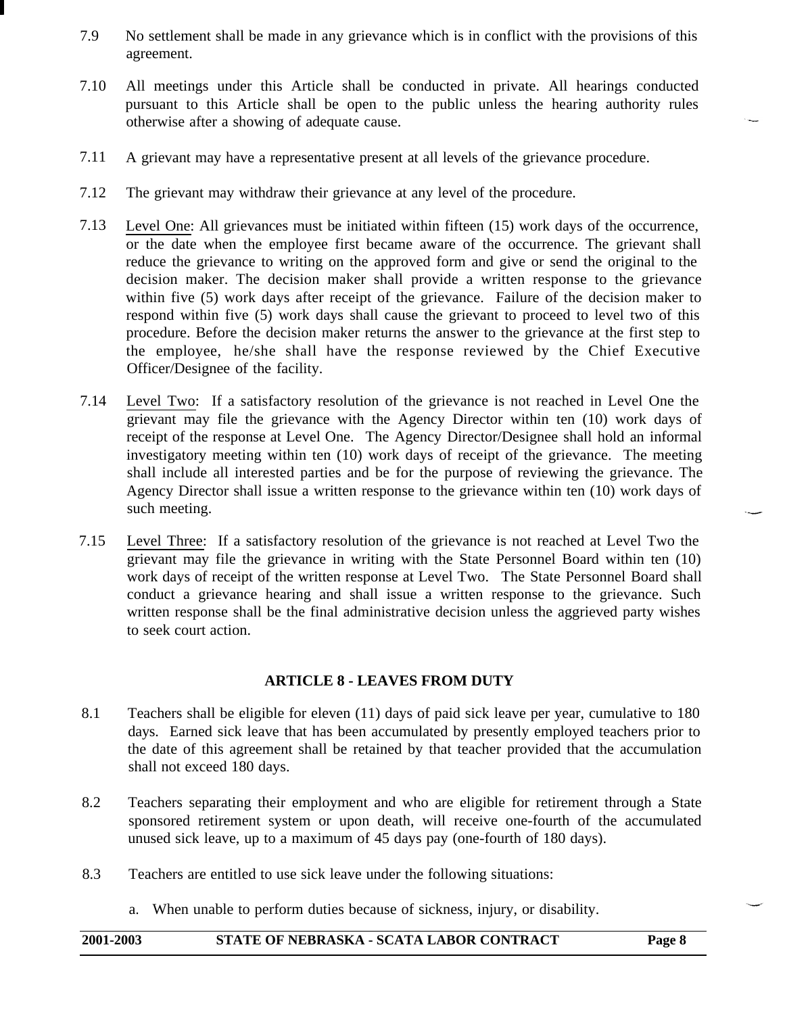- 7.9 No settlement shall be made in any grievance which is in conflict with the provisions of this agreement.
- 7.10 All meetings under this Article shall be conducted in private. All hearings conducted pursuant to this Article shall be open to the public unless the hearing authority rules otherwise after a showing of adequate cause.
- 7.11 A grievant may have a representative present at all levels of the grievance procedure.
- 7.12 The grievant may withdraw their grievance at any level of the procedure.
- 7.13 Level One: All grievances must be initiated within fifteen (15) work days of the occurrence, or the date when the employee first became aware of the occurrence. The grievant shall reduce the grievance to writing on the approved form and give or send the original to the decision maker. The decision maker shall provide a written response to the grievance within five (5) work days after receipt of the grievance. Failure of the decision maker to respond within five (5) work days shall cause the grievant to proceed to level two of this procedure. Before the decision maker returns the answer to the grievance at the first step to the employee, he/she shall have the response reviewed by the Chief Executive Officer/Designee of the facility.
- 7.14 Level Two: If a satisfactory resolution of the grievance is not reached in Level One the grievant may file the grievance with the Agency Director within ten (10) work days of receipt of the response at Level One. The Agency Director/Designee shall hold an informal investigatory meeting within ten (10) work days of receipt of the grievance. The meeting shall include all interested parties and be for the purpose of reviewing the grievance. The Agency Director shall issue a written response to the grievance within ten (10) work days of such meeting.
- 7.15 Level Three: If a satisfactory resolution of the grievance is not reached at Level Two the grievant may file the grievance in writing with the State Personnel Board within ten (10) work days of receipt of the written response at Level Two. The State Personnel Board shall conduct a grievance hearing and shall issue a written response to the grievance. Such written response shall be the final administrative decision unless the aggrieved party wishes to seek court action.

### **ARTICLE 8 - LEAVES FROM DUTY**

- <span id="page-7-0"></span>8.1 Teachers shall be eligible for eleven (11) days of paid sick leave per year, cumulative to 180 days. Earned sick leave that has been accumulated by presently employed teachers prior to the date of this agreement shall be retained by that teacher provided that the accumulation shall not exceed 180 days.
- 8.2 Teachers separating their employment and who are eligible for retirement through a State sponsored retirement system or upon death, will receive one-fourth of the accumulated unused sick leave, up to a maximum of 45 days pay (one-fourth of 180 days).
- 8.3 Teachers are entitled to use sick leave under the following situations:
	- a. When unable to perform duties because of sickness, injury, or disability.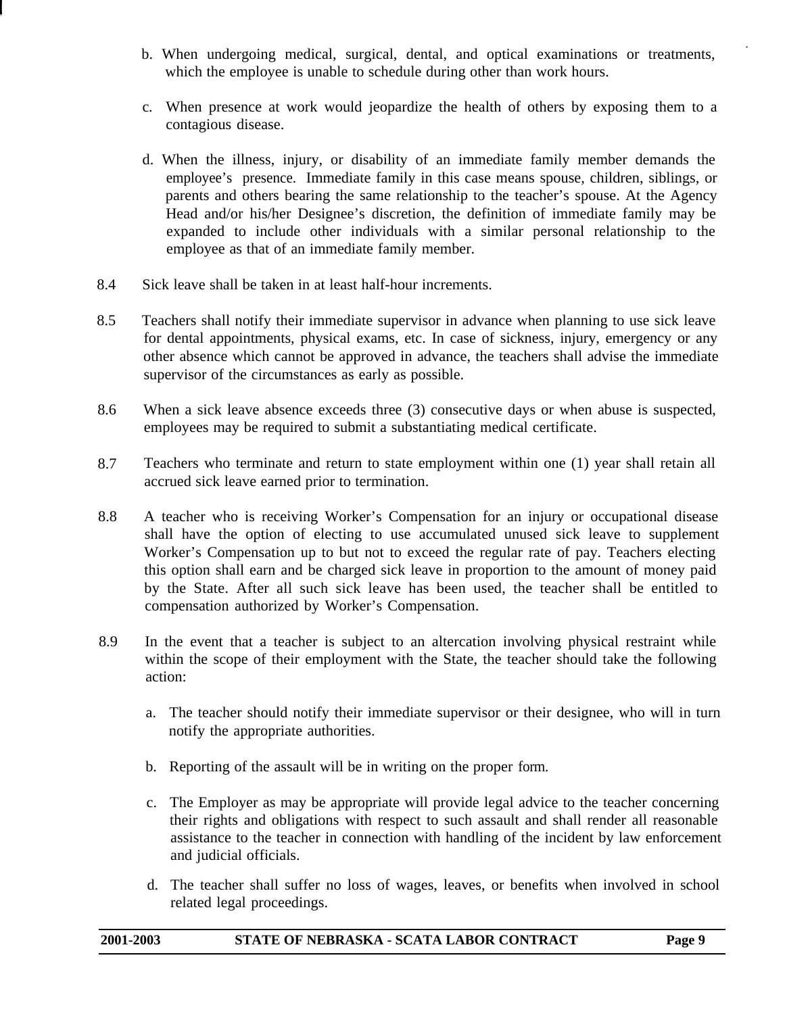- b. When undergoing medical, surgical, dental, and optical examinations or treatments, which the employee is unable to schedule during other than work hours.
- c. When presence at work would jeopardize the health of others by exposing them to a contagious disease.
- d. When the illness, injury, or disability of an immediate family member demands the employee's presence. Immediate family in this case means spouse, children, siblings, or parents and others bearing the same relationship to the teacher's spouse. At the Agency Head and/or his/her Designee's discretion, the definition of immediate family may be expanded to include other individuals with a similar personal relationship to the employee as that of an immediate family member.
- 8.4 Sick leave shall be taken in at least half-hour increments.
- 8.5 Teachers shall notify their immediate supervisor in advance when planning to use sick leave for dental appointments, physical exams, etc. In case of sickness, injury, emergency or any other absence which cannot be approved in advance, the teachers shall advise the immediate supervisor of the circumstances as early as possible.
- 8.6 When a sick leave absence exceeds three (3) consecutive days or when abuse is suspected, employees may be required to submit a substantiating medical certificate.
- 8.7 Teachers who terminate and return to state employment within one (1) year shall retain all accrued sick leave earned prior to termination.
- 8.8 A teacher who is receiving Worker's Compensation for an injury or occupational disease shall have the option of electing to use accumulated unused sick leave to supplement Worker's Compensation up to but not to exceed the regular rate of pay. Teachers electing this option shall earn and be charged sick leave in proportion to the amount of money paid by the State. After all such sick leave has been used, the teacher shall be entitled to compensation authorized by Worker's Compensation.
- 8.9 In the event that a teacher is subject to an altercation involving physical restraint while within the scope of their employment with the State, the teacher should take the following action:
	- a. The teacher should notify their immediate supervisor or their designee, who will in turn notify the appropriate authorities.
	- b. Reporting of the assault will be in writing on the proper form.
	- c. The Employer as may be appropriate will provide legal advice to the teacher concerning their rights and obligations with respect to such assault and shall render all reasonable assistance to the teacher in connection with handling of the incident by law enforcement and judicial officials.
	- d. The teacher shall suffer no loss of wages, leaves, or benefits when involved in school related legal proceedings.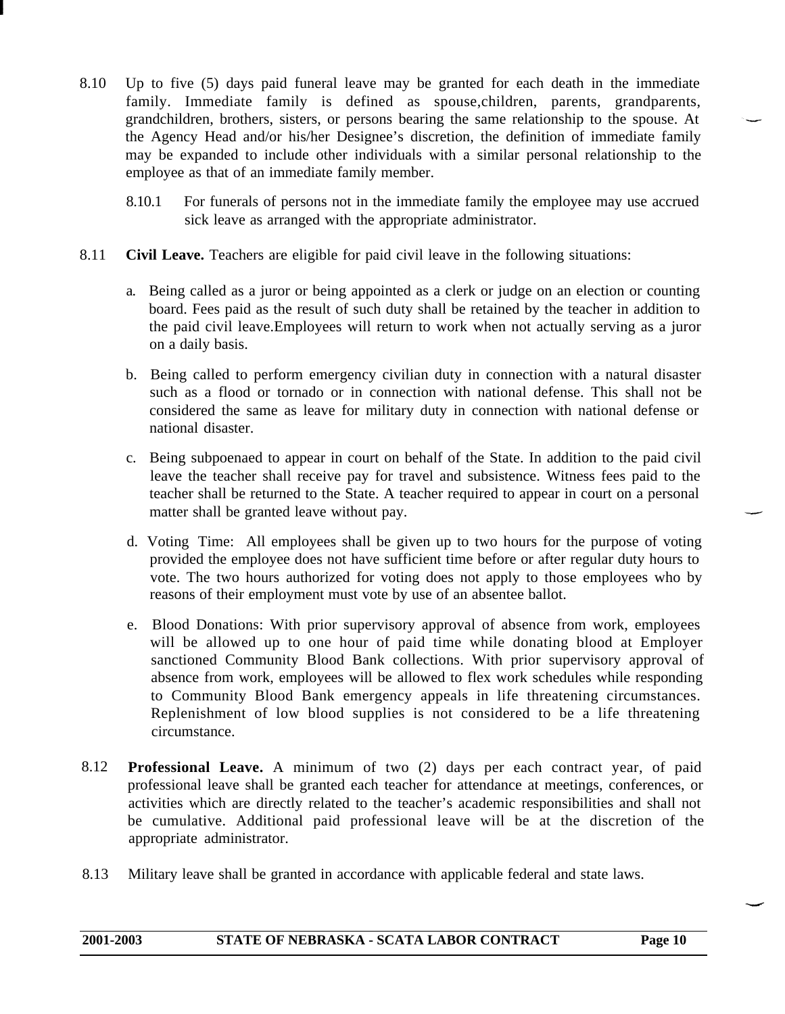- 8.10 Up to five (5) days paid funeral leave may be granted for each death in the immediate family. Immediate family is defined as spouse,children, parents, grandparents, grandchildren, brothers, sisters, or persons bearing the same relationship to the spouse. At the Agency Head and/or his/her Designee's discretion, the definition of immediate family may be expanded to include other individuals with a similar personal relationship to the employee as that of an immediate family member.
	- 8.10.1 For funerals of persons not in the immediate family the employee may use accrued sick leave as arranged with the appropriate administrator.
- 8.11 **Civil Leave.** Teachers are eligible for paid civil leave in the following situations:
	- a. Being called as a juror or being appointed as a clerk or judge on an election or counting board. Fees paid as the result of such duty shall be retained by the teacher in addition to the paid civil leave.Employees will return to work when not actually serving as a juror on a daily basis.
	- b. Being called to perform emergency civilian duty in connection with a natural disaster such as a flood or tornado or in connection with national defense. This shall not be considered the same as leave for military duty in connection with national defense or national disaster.
	- c. Being subpoenaed to appear in court on behalf of the State. In addition to the paid civil leave the teacher shall receive pay for travel and subsistence. Witness fees paid to the teacher shall be returned to the State. A teacher required to appear in court on a personal matter shall be granted leave without pay.
	- d. Voting Time: All employees shall be given up to two hours for the purpose of voting provided the employee does not have sufficient time before or after regular duty hours to vote. The two hours authorized for voting does not apply to those employees who by reasons of their employment must vote by use of an absentee ballot.
	- e. Blood Donations: With prior supervisory approval of absence from work, employees will be allowed up to one hour of paid time while donating blood at Employer sanctioned Community Blood Bank collections. With prior supervisory approval of absence from work, employees will be allowed to flex work schedules while responding to Community Blood Bank emergency appeals in life threatening circumstances. Replenishment of low blood supplies is not considered to be a life threatening circumstance.
- 8.12 **Professional Leave.** A minimum of two (2) days per each contract year, of paid professional leave shall be granted each teacher for attendance at meetings, conferences, or activities which are directly related to the teacher's academic responsibilities and shall not be cumulative. Additional paid professional leave will be at the discretion of the appropriate administrator.
- 8.13 Military leave shall be granted in accordance with applicable federal and state laws.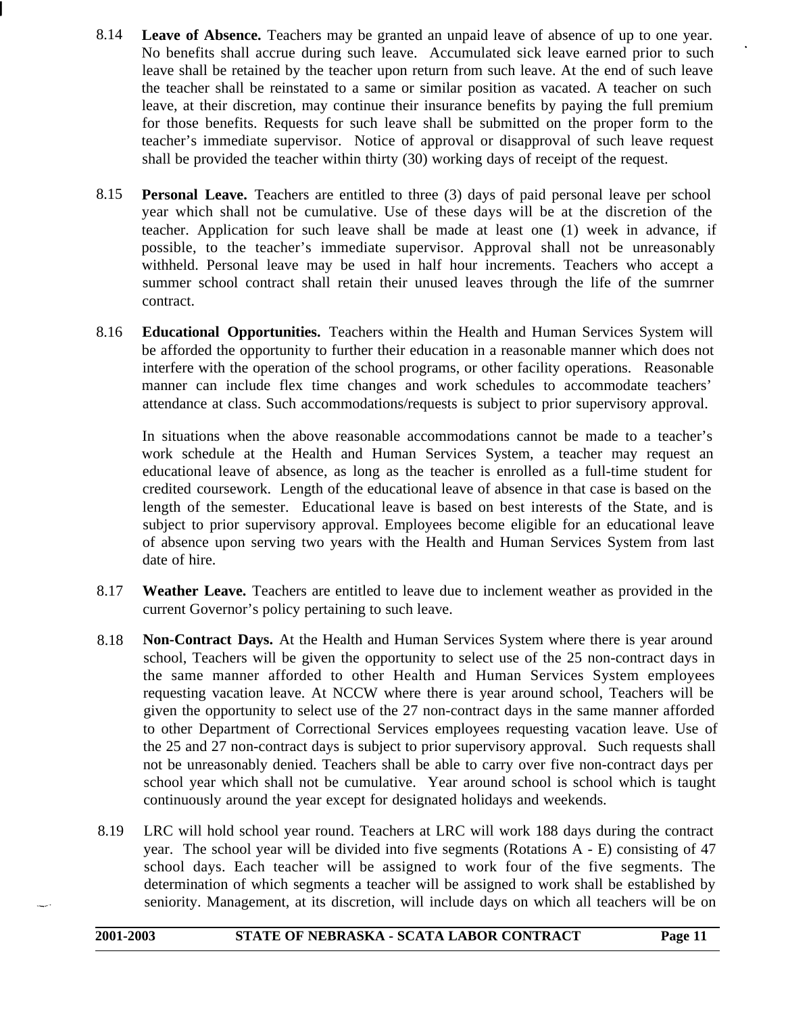- 8.14 Leave of Absence. Teachers may be granted an unpaid leave of absence of up to one year. No benefits shall accrue during such leave. Accumulated sick leave earned prior to such leave shall be retained by the teacher upon return from such leave. At the end of such leave the teacher shall be reinstated to a same or similar position as vacated. A teacher on such leave, at their discretion, may continue their insurance benefits by paying the full premium for those benefits. Requests for such leave shall be submitted on the proper form to the teacher's immediate supervisor. Notice of approval or disapproval of such leave request shall be provided the teacher within thirty (30) working days of receipt of the request.
- 8.15 **Personal Leave.** Teachers are entitled to three (3) days of paid personal leave per school year which shall not be cumulative. Use of these days will be at the discretion of the teacher. Application for such leave shall be made at least one (1) week in advance, if possible, to the teacher's immediate supervisor. Approval shall not be unreasonably withheld. Personal leave may be used in half hour increments. Teachers who accept a summer school contract shall retain their unused leaves through the life of the sumrner contract.
- 8.16 **Educational Opportunities.** Teachers within the Health and Human Services System will be afforded the opportunity to further their education in a reasonable manner which does not interfere with the operation of the school programs, or other facility operations. Reasonable manner can include flex time changes and work schedules to accommodate teachers' attendance at class. Such accommodations/requests is subject to prior supervisory approval.

In situations when the above reasonable accommodations cannot be made to a teacher's work schedule at the Health and Human Services System, a teacher may request an educational leave of absence, as long as the teacher is enrolled as a full-time student for credited coursework. Length of the educational leave of absence in that case is based on the length of the semester. Educational leave is based on best interests of the State, and is subject to prior supervisory approval. Employees become eligible for an educational leave of absence upon serving two years with the Health and Human Services System from last date of hire.

- 8.17 **Weather Leave.** Teachers are entitled to leave due to inclement weather as provided in the current Governor's policy pertaining to such leave.
- 8.18 **Non-Contract Days.** At the Health and Human Services System where there is year around school, Teachers will be given the opportunity to select use of the 25 non-contract days in the same manner afforded to other Health and Human Services System employees requesting vacation leave. At NCCW where there is year around school, Teachers will be given the opportunity to select use of the 27 non-contract days in the same manner afforded to other Department of Correctional Services employees requesting vacation leave. Use of the 25 and 27 non-contract days is subject to prior supervisory approval. Such requests shall not be unreasonably denied. Teachers shall be able to carry over five non-contract days per school year which shall not be cumulative. Year around school is school which is taught continuously around the year except for designated holidays and weekends.
- 8.19 LRC will hold school year round. Teachers at LRC will work 188 days during the contract year. The school year will be divided into five segments (Rotations A - E) consisting of 47 school days. Each teacher will be assigned to work four of the five segments. The determination of which segments a teacher will be assigned to work shall be established by seniority. Management, at its discretion, will include days on which all teachers will be on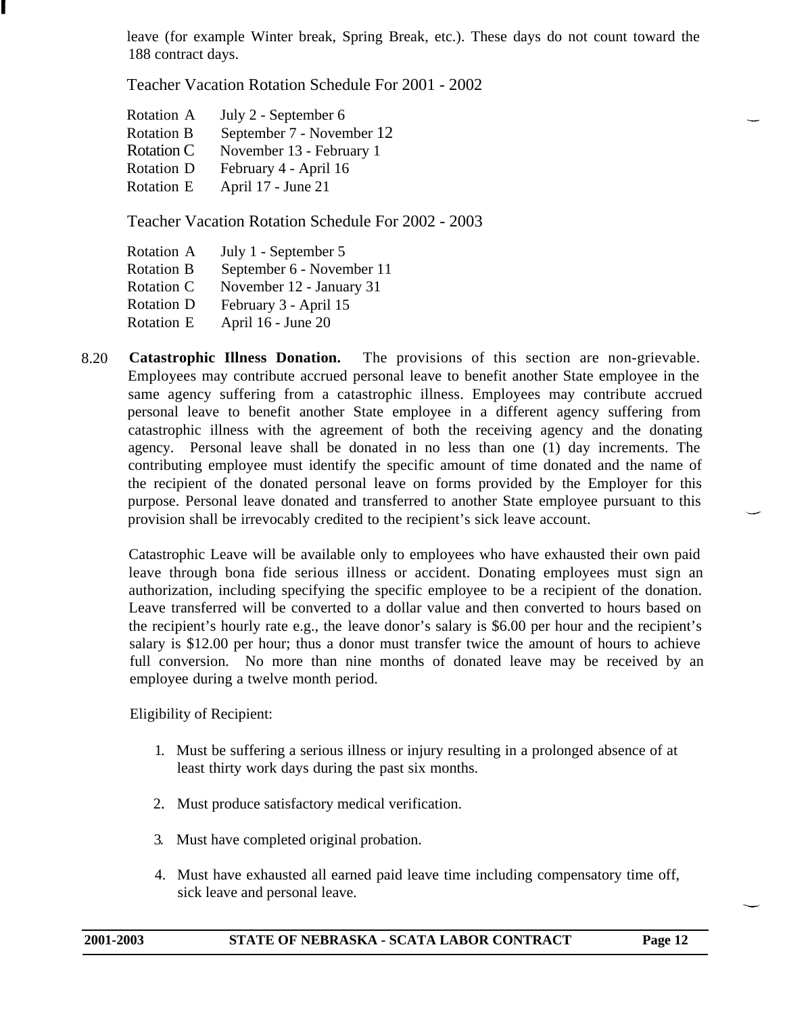leave (for example Winter break, Spring Break, etc.). These days do not count toward the 188 contract days.

Teacher Vacation Rotation Schedule For 2001 - 2002

| Rotation A        | July 2 - September 6      |
|-------------------|---------------------------|
| <b>Rotation B</b> | September 7 - November 12 |
| Rotation C        | November 13 - February 1  |
| <b>Rotation D</b> | February 4 - April 16     |
| Rotation E        | April 17 - June 21        |
|                   |                           |

Teacher Vacation Rotation Schedule For 2002 - 2003

| Rotation A        | July 1 - September 5      |
|-------------------|---------------------------|
| <b>Rotation B</b> | September 6 - November 11 |
| Rotation C        | November 12 - January 31  |
| <b>Rotation D</b> | February 3 - April 15     |
| Rotation E        | April 16 - June 20        |

8.20 **Catastrophic Illness Donation.** The provisions of this section are non-grievable. Employees may contribute accrued personal leave to benefit another State employee in the same agency suffering from a catastrophic illness. Employees may contribute accrued personal leave to benefit another State employee in a different agency suffering from catastrophic illness with the agreement of both the receiving agency and the donating agency. Personal leave shall be donated in no less than one (1) day increments. The contributing employee must identify the specific amount of time donated and the name of the recipient of the donated personal leave on forms provided by the Employer for this purpose. Personal leave donated and transferred to another State employee pursuant to this provision shall be irrevocably credited to the recipient's sick leave account.

Catastrophic Leave will be available only to employees who have exhausted their own paid leave through bona fide serious illness or accident. Donating employees must sign an authorization, including specifying the specific employee to be a recipient of the donation. Leave transferred will be converted to a dollar value and then converted to hours based on the recipient's hourly rate e.g., the leave donor's salary is \$6.00 per hour and the recipient's salary is \$12.00 per hour; thus a donor must transfer twice the amount of hours to achieve full conversion. No more than nine months of donated leave may be received by an employee during a twelve month period.

Eligibility of Recipient:

- 1. Must be suffering a serious illness or injury resulting in a prolonged absence of at least thirty work days during the past six months.
- 2. Must produce satisfactory medical verification.
- 3. Must have completed original probation.
- 4. Must have exhausted all earned paid leave time including compensatory time off, sick leave and personal leave.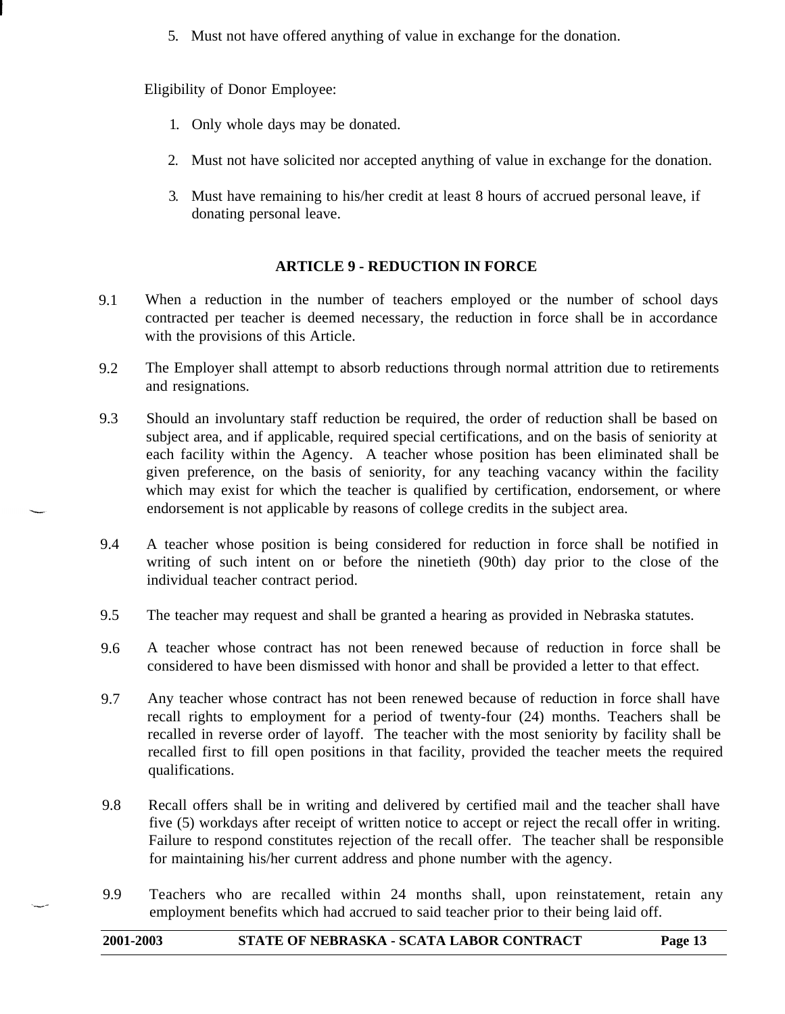5. Must not have offered anything of value in exchange for the donation.

Eligibility of Donor Employee:

- 1. Only whole days may be donated.
- 2. Must not have solicited nor accepted anything of value in exchange for the donation.
- 3. Must have remaining to his/her credit at least 8 hours of accrued personal leave, if donating personal leave.

# **ARTICLE 9 - REDUCTION IN FORCE**

- <span id="page-12-0"></span>9.1 When a reduction in the number of teachers employed or the number of school days contracted per teacher is deemed necessary, the reduction in force shall be in accordance with the provisions of this Article.
- 9.2 The Employer shall attempt to absorb reductions through normal attrition due to retirements and resignations.
- 9.3 Should an involuntary staff reduction be required, the order of reduction shall be based on subject area, and if applicable, required special certifications, and on the basis of seniority at each facility within the Agency. A teacher whose position has been eliminated shall be given preference, on the basis of seniority, for any teaching vacancy within the facility which may exist for which the teacher is qualified by certification, endorsement, or where endorsement is not applicable by reasons of college credits in the subject area.
- 9.4 A teacher whose position is being considered for reduction in force shall be notified in writing of such intent on or before the ninetieth (90th) day prior to the close of the individual teacher contract period.
- 9.5 The teacher may request and shall be granted a hearing as provided in Nebraska statutes.
- 9.6 A teacher whose contract has not been renewed because of reduction in force shall be considered to have been dismissed with honor and shall be provided a letter to that effect.
- 9.7 Any teacher whose contract has not been renewed because of reduction in force shall have recall rights to employment for a period of twenty-four (24) months. Teachers shall be recalled in reverse order of layoff. The teacher with the most seniority by facility shall be recalled first to fill open positions in that facility, provided the teacher meets the required qualifications.
- 9.8 Recall offers shall be in writing and delivered by certified mail and the teacher shall have five (5) workdays after receipt of written notice to accept or reject the recall offer in writing. Failure to respond constitutes rejection of the recall offer. The teacher shall be responsible for maintaining his/her current address and phone number with the agency.
- 9.9 Teachers who are recalled within 24 months shall, upon reinstatement, retain any employment benefits which had accrued to said teacher prior to their being laid off.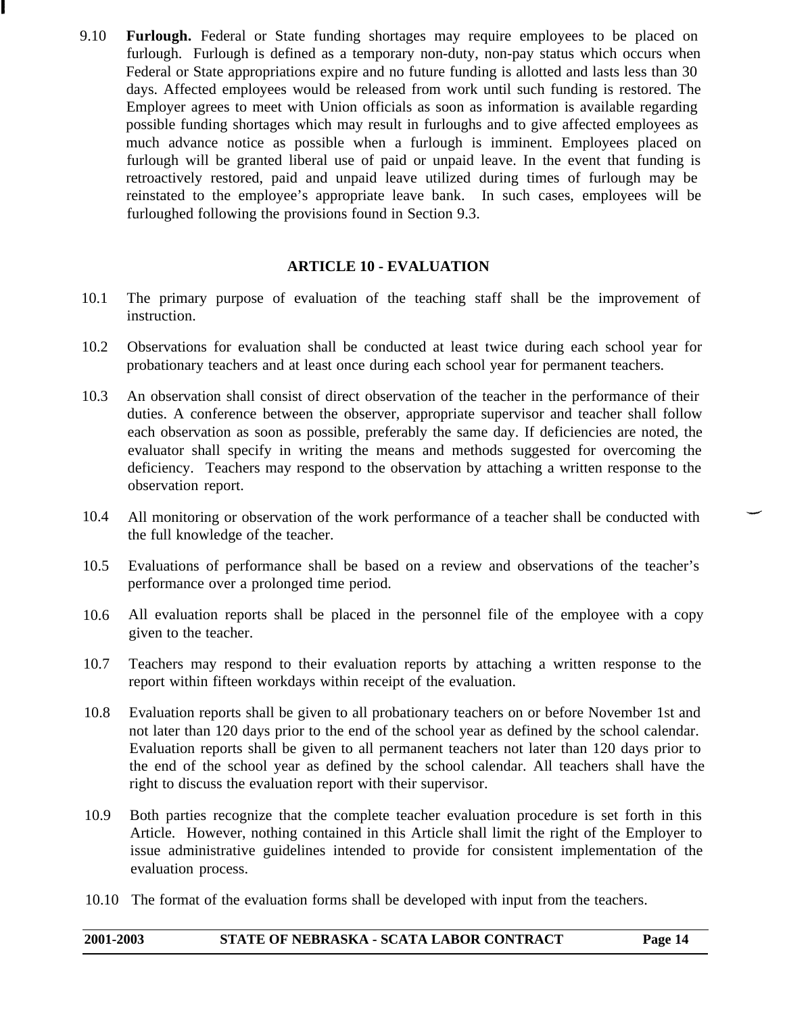9.10 **Furlough.** Federal or State funding shortages may require employees to be placed on furlough. Furlough is defined as a temporary non-duty, non-pay status which occurs when Federal or State appropriations expire and no future funding is allotted and lasts less than 30 days. Affected employees would be released from work until such funding is restored. The Employer agrees to meet with Union officials as soon as information is available regarding possible funding shortages which may result in furloughs and to give affected employees as much advance notice as possible when a furlough is imminent. Employees placed on furlough will be granted liberal use of paid or unpaid leave. In the event that funding is retroactively restored, paid and unpaid leave utilized during times of furlough may be reinstated to the employee's appropriate leave bank. In such cases, employees will be furloughed following the provisions found in Section 9.3.

### **ARTICLE 10 - EVALUATION**

- <span id="page-13-0"></span>10.1 The primary purpose of evaluation of the teaching staff shall be the improvement of instruction.
- 10.2 Observations for evaluation shall be conducted at least twice during each school year for probationary teachers and at least once during each school year for permanent teachers.
- 10.3 An observation shall consist of direct observation of the teacher in the performance of their duties. A conference between the observer, appropriate supervisor and teacher shall follow each observation as soon as possible, preferably the same day. If deficiencies are noted, the evaluator shall specify in writing the means and methods suggested for overcoming the deficiency. Teachers may respond to the observation by attaching a written response to the observation report.
- 10.4 All monitoring or observation of the work performance of a teacher shall be conducted with the full knowledge of the teacher.
- 10.5 Evaluations of performance shall be based on a review and observations of the teacher's performance over a prolonged time period.
- 10.6 All evaluation reports shall be placed in the personnel file of the employee with a copy given to the teacher.
- 10.7 Teachers may respond to their evaluation reports by attaching a written response to the report within fifteen workdays within receipt of the evaluation.
- 10.8 Evaluation reports shall be given to all probationary teachers on or before November 1st and not later than 120 days prior to the end of the school year as defined by the school calendar. Evaluation reports shall be given to all permanent teachers not later than 120 days prior to the end of the school year as defined by the school calendar. All teachers shall have the right to discuss the evaluation report with their supervisor.
- 10.9 Both parties recognize that the complete teacher evaluation procedure is set forth in this Article. However, nothing contained in this Article shall limit the right of the Employer to issue administrative guidelines intended to provide for consistent implementation of the evaluation process.
- 10.10 The format of the evaluation forms shall be developed with input from the teachers.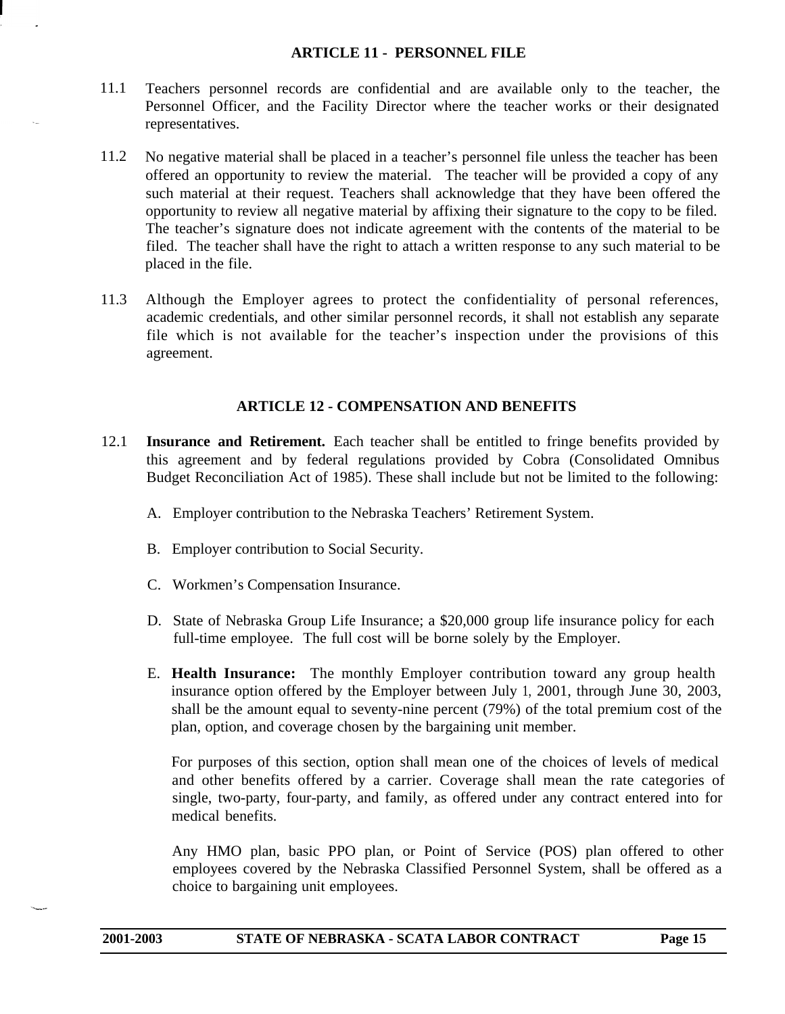### **ARTICLE 11 - PERSONNEL FILE**

- <span id="page-14-0"></span>11.1 Teachers personnel records are confidential and are available only to the teacher, the Personnel Officer, and the Facility Director where the teacher works or their designated representatives.
- 11.2 No negative material shall be placed in a teacher's personnel file unless the teacher has been offered an opportunity to review the material. The teacher will be provided a copy of any such material at their request. Teachers shall acknowledge that they have been offered the opportunity to review all negative material by affixing their signature to the copy to be filed. The teacher's signature does not indicate agreement with the contents of the material to be filed. The teacher shall have the right to attach a written response to any such material to be placed in the file.
- <span id="page-14-1"></span>11.3 Although the Employer agrees to protect the confidentiality of personal references, academic credentials, and other similar personnel records, it shall not establish any separate file which is not available for the teacher's inspection under the provisions of this agreement.

### **ARTICLE 12 - COMPENSATION AND BENEFITS**

- 12.1 **Insurance and Retirement.** Each teacher shall be entitled to fringe benefits provided by this agreement and by federal regulations provided by Cobra (Consolidated Omnibus Budget Reconciliation Act of 1985). These shall include but not be limited to the following:
	- A. Employer contribution to the Nebraska Teachers' Retirement System.
	- B. Employer contribution to Social Security.
	- C. Workmen's Compensation Insurance.
	- D. State of Nebraska Group Life Insurance; a \$20,000 group life insurance policy for each full-time employee. The full cost will be borne solely by the Employer.
	- E. **Health Insurance:** The monthly Employer contribution toward any group health insurance option offered by the Employer between July 1, 2001, through June 30, 2003, shall be the amount equal to seventy-nine percent (79%) of the total premium cost of the plan, option, and coverage chosen by the bargaining unit member.

For purposes of this section, option shall mean one of the choices of levels of medical and other benefits offered by a carrier. Coverage shall mean the rate categories of single, two-party, four-party, and family, as offered under any contract entered into for medical benefits.

Any HMO plan, basic PPO plan, or Point of Service (POS) plan offered to other employees covered by the Nebraska Classified Personnel System, shall be offered as a choice to bargaining unit employees.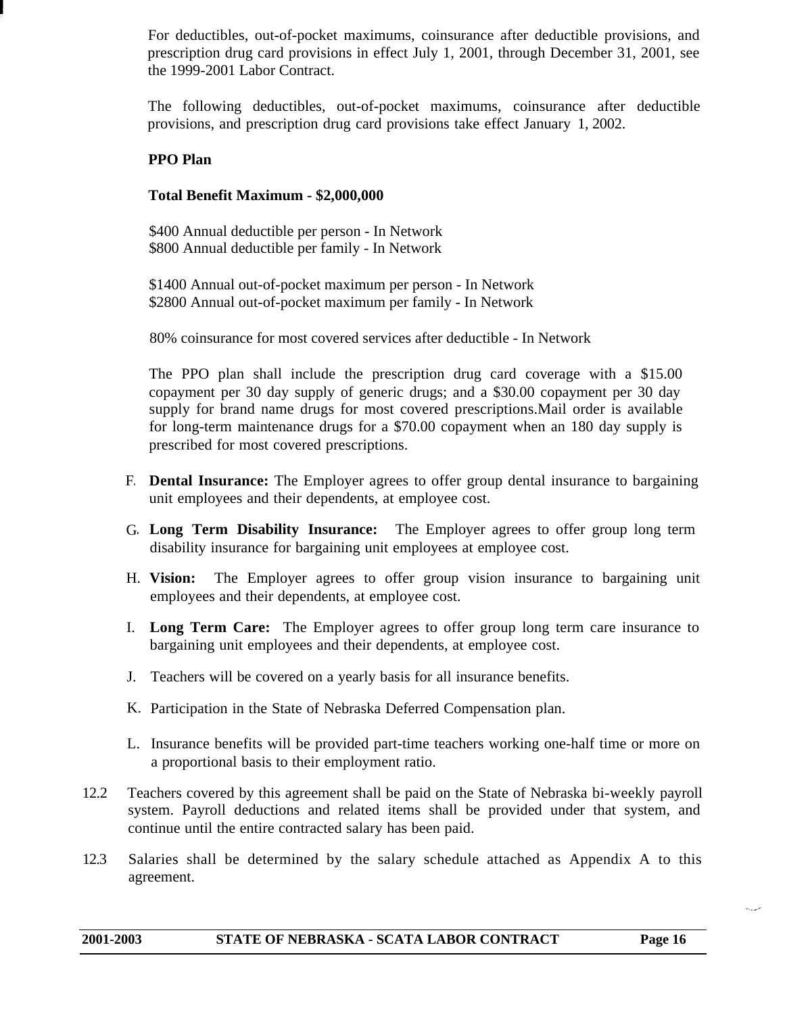For deductibles, out-of-pocket maximums, coinsurance after deductible provisions, and prescription drug card provisions in effect July 1, 2001, through December 31, 2001, see the 1999-2001 Labor Contract.

The following deductibles, out-of-pocket maximums, coinsurance after deductible provisions, and prescription drug card provisions take effect January 1, 2002.

# **PPO Plan**

### **Total Benefit Maximum - \$2,000,000**

\$400 Annual deductible per person - In Network \$800 Annual deductible per family - In Network

\$1400 Annual out-of-pocket maximum per person - In Network \$2800 Annual out-of-pocket maximum per family - In Network

80% coinsurance for most covered services after deductible - In Network

The PPO plan shall include the prescription drug card coverage with a \$15.00 copayment per 30 day supply of generic drugs; and a \$30.00 copayment per 30 day supply for brand name drugs for most covered prescriptions.Mail order is available for long-term maintenance drugs for a \$70.00 copayment when an 180 day supply is prescribed for most covered prescriptions.

- F**. Dental Insurance:** The Employer agrees to offer group dental insurance to bargaining unit employees and their dependents, at employee cost.
- G**. Long Term Disability Insurance:** The Employer agrees to offer group long term disability insurance for bargaining unit employees at employee cost.
- H. Vision: **Vision:** The Employer agrees to offer group vision insurance to bargaining unit employees and their dependents, at employee cost.
- I. **Long Term Care:** The Employer agrees to offer group long term care insurance to bargaining unit employees and their dependents, at employee cost.
- J. Teachers will be covered on a yearly basis for all insurance benefits.
- K. Participation in the State of Nebraska Deferred Compensation plan.
- L. Insurance benefits will be provided part-time teachers working one-half time or more on a proportional basis to their employment ratio.
- 12.2 Teachers covered by this agreement shall be paid on the State of Nebraska bi-weekly payroll system. Payroll deductions and related items shall be provided under that system, and continue until the entire contracted salary has been paid.
- 12.3 Salaries shall be determined by the salary schedule attached as Appendix A to this agreement.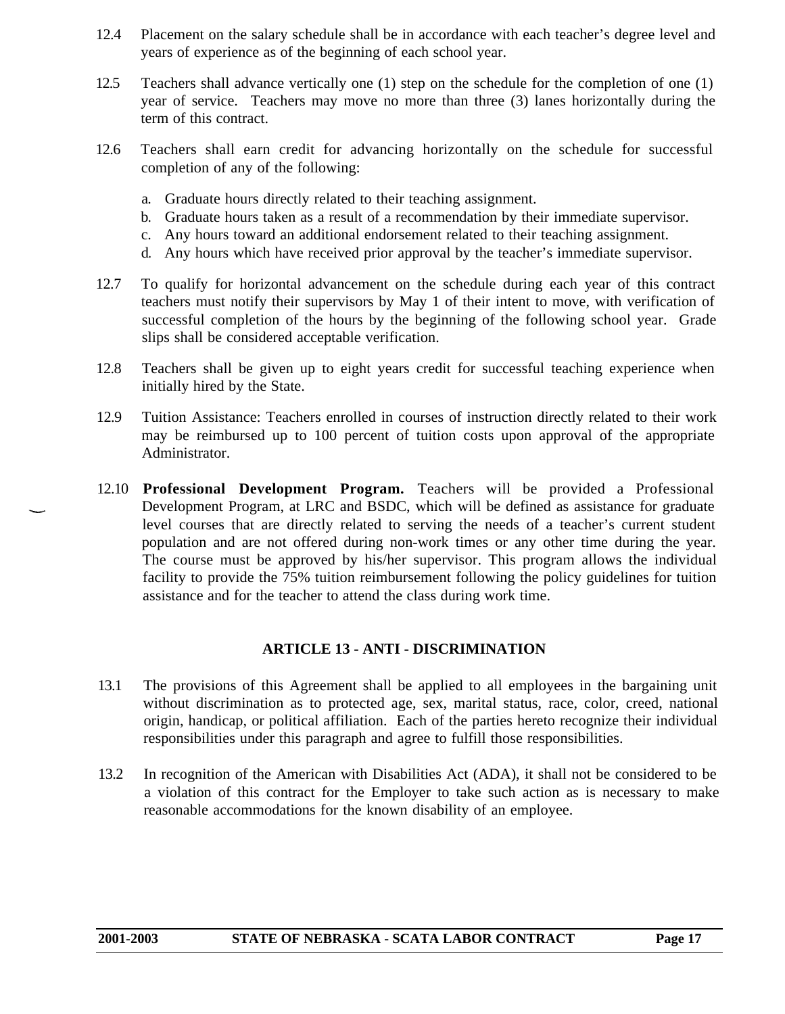- 12.4 Placement on the salary schedule shall be in accordance with each teacher's degree level and years of experience as of the beginning of each school year.
- 12.5 Teachers shall advance vertically one (1) step on the schedule for the completion of one (1) year of service. Teachers may move no more than three (3) lanes horizontally during the term of this contract.
- 12.6 Teachers shall earn credit for advancing horizontally on the schedule for successful completion of any of the following:
	- a. Graduate hours directly related to their teaching assignment.
	- b. Graduate hours taken as a result of a recommendation by their immediate supervisor.
	- c. Any hours toward an additional endorsement related to their teaching assignment.
	- d. Any hours which have received prior approval by the teacher's immediate supervisor.
- 12.7 To qualify for horizontal advancement on the schedule during each year of this contract teachers must notify their supervisors by May 1 of their intent to move, with verification of successful completion of the hours by the beginning of the following school year. Grade slips shall be considered acceptable verification.
- 12.8 Teachers shall be given up to eight years credit for successful teaching experience when initially hired by the State.
- 12.9 Tuition Assistance: Teachers enrolled in courses of instruction directly related to their work may be reimbursed up to 100 percent of tuition costs upon approval of the appropriate Administrator.
- 12.10 **Professional Development Program.** Teachers will be provided a Professional Development Program, at LRC and BSDC, which will be defined as assistance for graduate level courses that are directly related to serving the needs of a teacher's current student population and are not offered during non-work times or any other time during the year. The course must be approved by his/her supervisor. This program allows the individual facility to provide the 75% tuition reimbursement following the policy guidelines for tuition assistance and for the teacher to attend the class during work time.

### **ARTICLE 13 - ANTI - DISCRIMINATION**

- <span id="page-16-0"></span>13.1 The provisions of this Agreement shall be applied to all employees in the bargaining unit without discrimination as to protected age, sex, marital status, race, color, creed, national origin, handicap, or political affiliation. Each of the parties hereto recognize their individual responsibilities under this paragraph and agree to fulfill those responsibilities.
- 13.2 In recognition of the American with Disabilities Act (ADA), it shall not be considered to be a violation of this contract for the Employer to take such action as is necessary to make reasonable accommodations for the known disability of an employee.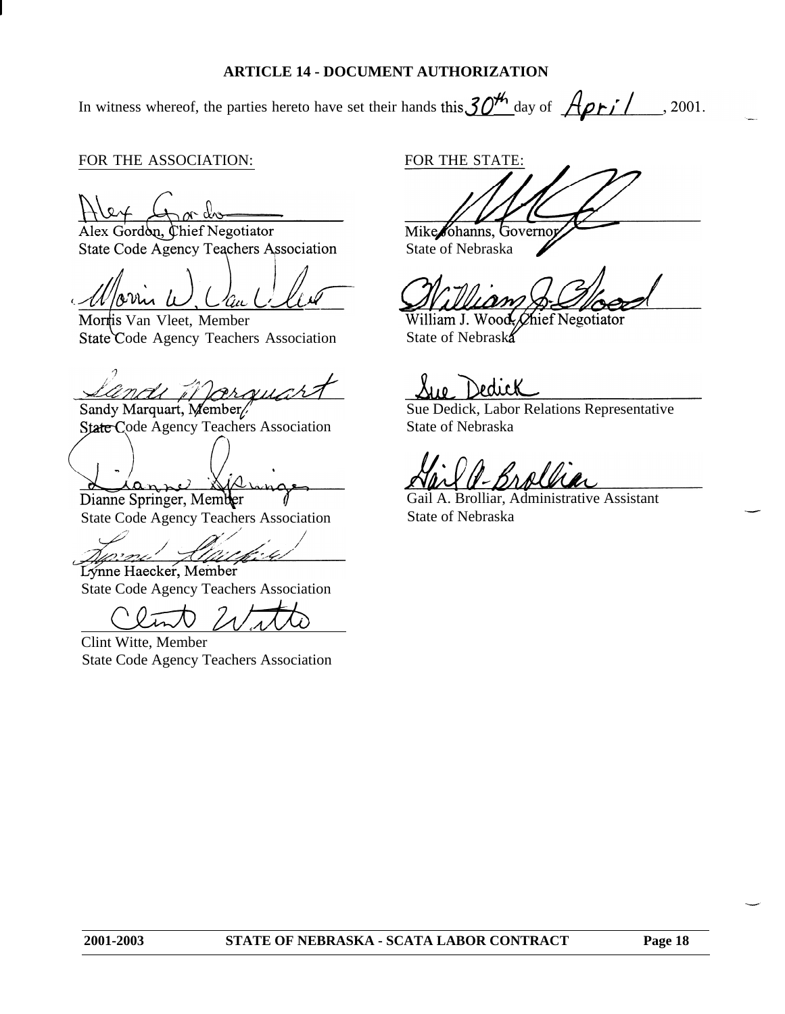### **ARTICLE 14 - DOCUMENT AUTHORIZATION**

<span id="page-17-0"></span>In witness whereof, the parties hereto have set their hands this  $30<sup>4</sup>$  day of  $\overrightarrow{A}$   $\overrightarrow{P}$ , 2001.

### FOR THE ASSOCIATION:

Alex Gordon, Chief Negotiator

State Code Agency Teachers Association

AM.

Morris Van Vleet, Member State Code Agency Teachers Association

arquart nou it le

Sandy Marquart, Member/ State Code Agency Teachers Association

**0 .** Dianne Springer, Member

State Code Agency Teachers Association

provi

Lýnne Haecker, Member State Code Agency Teachers Association

Clint Witte, Member State Code Agency Teachers Association

FOR THE STATE:

Mike Johanns, Governor<br>State of Nebraska

hief Negotiator William J. Woo State of Nebraska

Sue Dedick, Labor Relations Representative State of Nebraska

Boollin

Gail A. Brolliar, Administrative Assistant State of Nebraska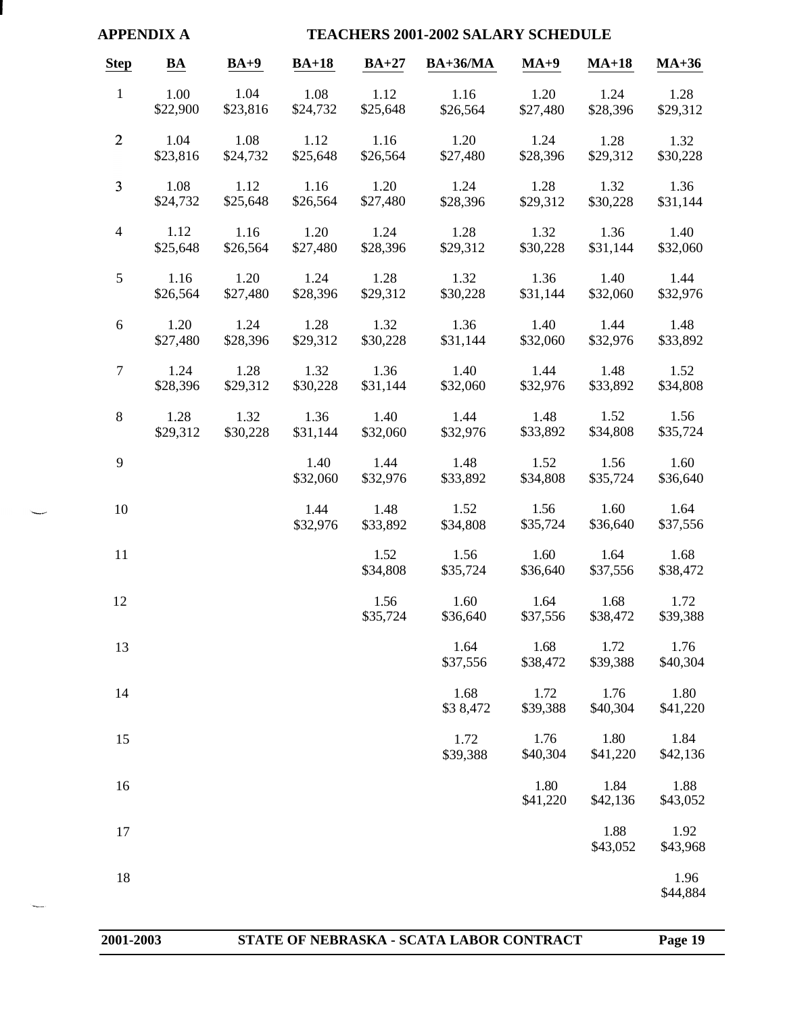<span id="page-18-0"></span>

|                 | <b>APPENDIX A</b> |                  |                  |                  | <b>TEACHERS 2001-2002 SALARY SCHEDULE</b> |                  |                  |                  |
|-----------------|-------------------|------------------|------------------|------------------|-------------------------------------------|------------------|------------------|------------------|
| <b>Step</b>     | BA                | $BA+9$           | $BA+18$          | $BA+27$          | <b>BA+36/MA</b>                           | $MA+9$           | $MA+18$          | $MA+36$          |
| $\mathbf{1}$    | 1.00<br>\$22,900  | 1.04<br>\$23,816 | 1.08<br>\$24,732 | 1.12<br>\$25,648 | 1.16<br>\$26,564                          | 1.20<br>\$27,480 | 1.24<br>\$28,396 | 1.28<br>\$29,312 |
| $\overline{2}$  | 1.04<br>\$23,816  | 1.08<br>\$24,732 | 1.12<br>\$25,648 | 1.16<br>\$26,564 | 1.20<br>\$27,480                          | 1.24<br>\$28,396 | 1.28<br>\$29,312 | 1.32<br>\$30,228 |
| $\overline{3}$  | 1.08<br>\$24,732  | 1.12<br>\$25,648 | 1.16<br>\$26,564 | 1.20<br>\$27,480 | 1.24<br>\$28,396                          | 1.28<br>\$29,312 | 1.32<br>\$30,228 | 1.36<br>\$31,144 |
| $\overline{4}$  | 1.12<br>\$25,648  | 1.16<br>\$26,564 | 1.20<br>\$27,480 | 1.24<br>\$28,396 | 1.28<br>\$29,312                          | 1.32<br>\$30,228 | 1.36<br>\$31,144 | 1.40<br>\$32,060 |
| $5\overline{)}$ | 1.16<br>\$26,564  | 1.20<br>\$27,480 | 1.24<br>\$28,396 | 1.28<br>\$29,312 | 1.32<br>\$30,228                          | 1.36<br>\$31,144 | 1.40<br>\$32,060 | 1.44<br>\$32,976 |
| 6               | 1.20<br>\$27,480  | 1.24<br>\$28,396 | 1.28<br>\$29,312 | 1.32<br>\$30,228 | 1.36<br>\$31,144                          | 1.40<br>\$32,060 | 1.44<br>\$32,976 | 1.48<br>\$33,892 |
| $\tau$          | 1.24<br>\$28,396  | 1.28<br>\$29,312 | 1.32<br>\$30,228 | 1.36<br>\$31,144 | 1.40<br>\$32,060                          | 1.44<br>\$32,976 | 1.48<br>\$33,892 | 1.52<br>\$34,808 |
| 8               | 1.28<br>\$29,312  | 1.32<br>\$30,228 | 1.36<br>\$31,144 | 1.40<br>\$32,060 | 1.44<br>\$32,976                          | 1.48<br>\$33,892 | 1.52<br>\$34,808 | 1.56<br>\$35,724 |
| 9               |                   |                  | 1.40<br>\$32,060 | 1.44<br>\$32,976 | 1.48<br>\$33,892                          | 1.52<br>\$34,808 | 1.56<br>\$35,724 | 1.60<br>\$36,640 |
| 10              |                   |                  | 1.44<br>\$32,976 | 1.48<br>\$33,892 | 1.52<br>\$34,808                          | 1.56<br>\$35,724 | 1.60<br>\$36,640 | 1.64<br>\$37,556 |
| 11              |                   |                  |                  | 1.52<br>\$34,808 | 1.56<br>\$35,724                          | 1.60<br>\$36,640 | 1.64<br>\$37,556 | 1.68<br>\$38,472 |
| 12              |                   |                  |                  | 1.56<br>\$35,724 | 1.60<br>\$36,640                          | 1.64<br>\$37,556 | 1.68<br>\$38,472 | 1.72<br>\$39,388 |
| 13              |                   |                  |                  |                  | 1.64<br>\$37,556                          | 1.68<br>\$38,472 | 1.72<br>\$39,388 | 1.76<br>\$40,304 |
| 14              |                   |                  |                  |                  | 1.68<br>\$38,472                          | 1.72<br>\$39,388 | 1.76<br>\$40,304 | 1.80<br>\$41,220 |
| 15              |                   |                  |                  |                  | 1.72<br>\$39,388                          | 1.76<br>\$40,304 | 1.80<br>\$41,220 | 1.84<br>\$42,136 |
| 16              |                   |                  |                  |                  |                                           | 1.80<br>\$41,220 | 1.84<br>\$42,136 | 1.88<br>\$43,052 |
| 17              |                   |                  |                  |                  |                                           |                  | 1.88<br>\$43,052 | 1.92<br>\$43,968 |
| 18              |                   |                  |                  |                  |                                           |                  |                  | 1.96<br>\$44,884 |
|                 |                   |                  |                  |                  |                                           |                  |                  |                  |

 $\overline{\phantom{a}}$